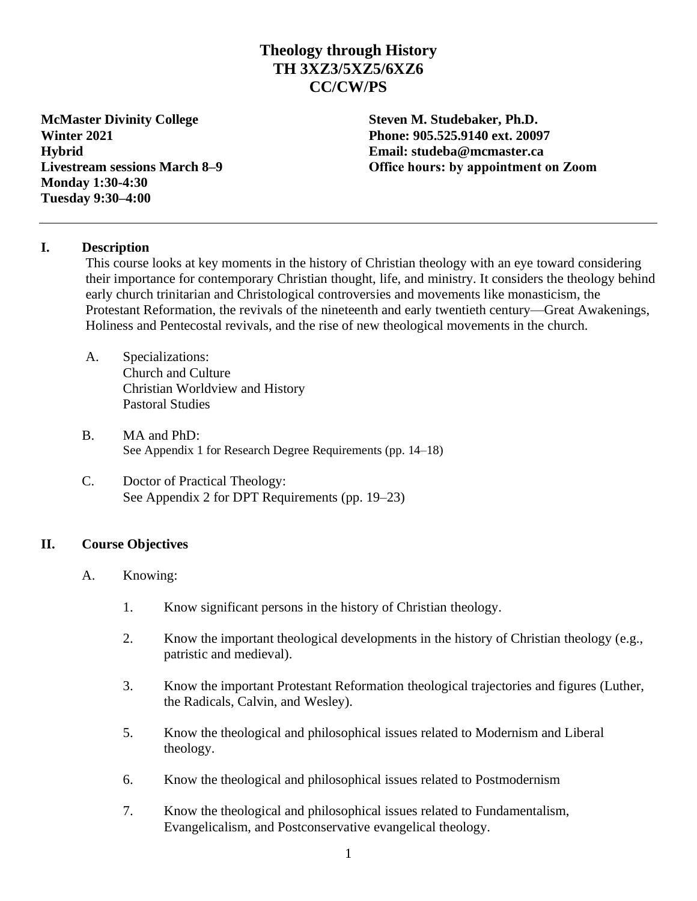# **Theology through History TH 3XZ3/5XZ5/6XZ6 CC/CW/PS**

**McMaster Divinity College Steven M. Studebaker, Ph.D. Winter 2021 Phone: 905.525.9140 ext. 20097 Hybrid Email: studeba@mcmaster.ca Monday 1:30-4:30 Tuesday 9:30–4:00**

**Livestream sessions March 8–9 Office hours: by appointment on Zoom**

#### **I. Description**

This course looks at key moments in the history of Christian theology with an eye toward considering their importance for contemporary Christian thought, life, and ministry. It considers the theology behind early church trinitarian and Christological controversies and movements like monasticism, the Protestant Reformation, the revivals of the nineteenth and early twentieth century—Great Awakenings, Holiness and Pentecostal revivals, and the rise of new theological movements in the church.

- A. Specializations: Church and Culture Christian Worldview and History Pastoral Studies
- B. MA and PhD: See Appendix 1 for Research Degree Requirements (pp. 14–18)
- C. Doctor of Practical Theology: See Appendix 2 for DPT Requirements (pp. 19–23)

#### **II. Course Objectives**

- A. Knowing:
	- 1. Know significant persons in the history of Christian theology.
	- 2. Know the important theological developments in the history of Christian theology (e.g., patristic and medieval).
	- 3. Know the important Protestant Reformation theological trajectories and figures (Luther, the Radicals, Calvin, and Wesley).
	- 5. Know the theological and philosophical issues related to Modernism and Liberal theology.
	- 6. Know the theological and philosophical issues related to Postmodernism
	- 7. Know the theological and philosophical issues related to Fundamentalism, Evangelicalism, and Postconservative evangelical theology.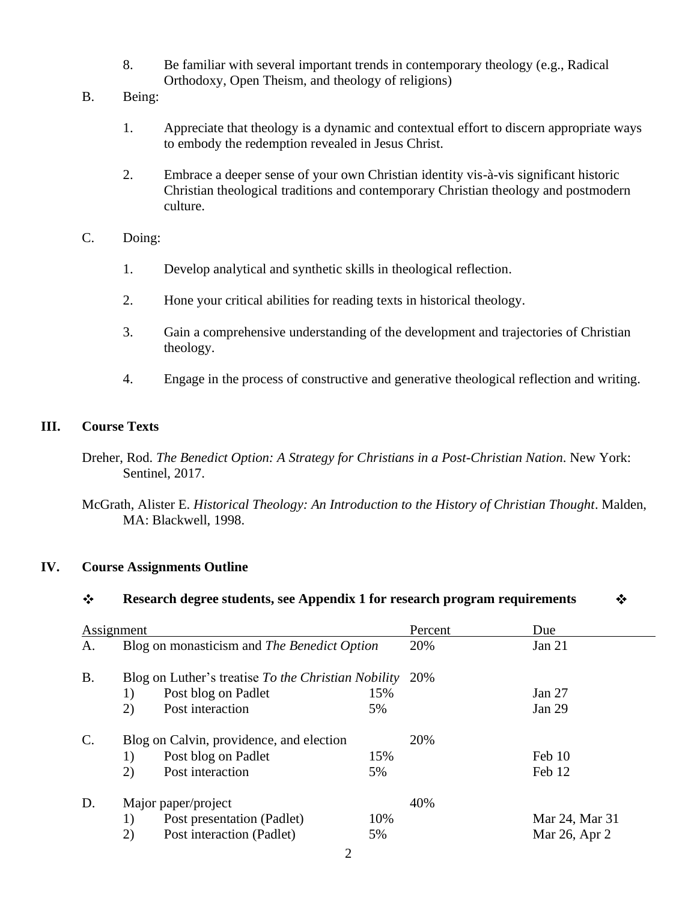- 8. Be familiar with several important trends in contemporary theology (e.g., Radical Orthodoxy, Open Theism, and theology of religions)
- B. Being:
	- 1. Appreciate that theology is a dynamic and contextual effort to discern appropriate ways to embody the redemption revealed in Jesus Christ.
	- 2. Embrace a deeper sense of your own Christian identity vis-à-vis significant historic Christian theological traditions and contemporary Christian theology and postmodern culture.
- C. Doing:
	- 1. Develop analytical and synthetic skills in theological reflection.
	- 2. Hone your critical abilities for reading texts in historical theology.
	- 3. Gain a comprehensive understanding of the development and trajectories of Christian theology.
	- 4. Engage in the process of constructive and generative theological reflection and writing.

# **III. Course Texts**

Dreher, Rod. *The Benedict Option: A Strategy for Christians in a Post-Christian Nation*. New York: Sentinel, 2017.

McGrath, Alister E. *Historical Theology: An Introduction to the History of Christian Thought*. Malden, MA: Blackwell, 1998.

# **IV. Course Assignments Outline**

#### $\ddot{\ddot{\psi}}$ **Research degree students, see Appendix 1 for research program requirements** ❖

| Assignment     |                                             |                                                     |     | Percent  | Due            |
|----------------|---------------------------------------------|-----------------------------------------------------|-----|----------|----------------|
| A.             | Blog on monasticism and The Benedict Option |                                                     | 20% | Jan $21$ |                |
| <b>B.</b>      |                                             | Blog on Luther's treatise To the Christian Nobility | 20% |          |                |
|                | 1)                                          | Post blog on Padlet                                 | 15% |          | Jan 27         |
|                | 2)                                          | Post interaction                                    | 5%  |          | Jan 29         |
| $\mathbf{C}$ . |                                             | Blog on Calvin, providence, and election            |     | 20%      |                |
|                | 1)                                          | Post blog on Padlet                                 | 15% |          | Feb 10         |
|                | 2)                                          | Post interaction                                    | 5%  |          | Feb 12         |
| D.             | Major paper/project                         |                                                     |     | 40%      |                |
|                | 1)                                          | Post presentation (Padlet)                          | 10% |          | Mar 24, Mar 31 |
|                | 2)                                          | Post interaction (Padlet)                           | 5%  |          | Mar 26, Apr 2  |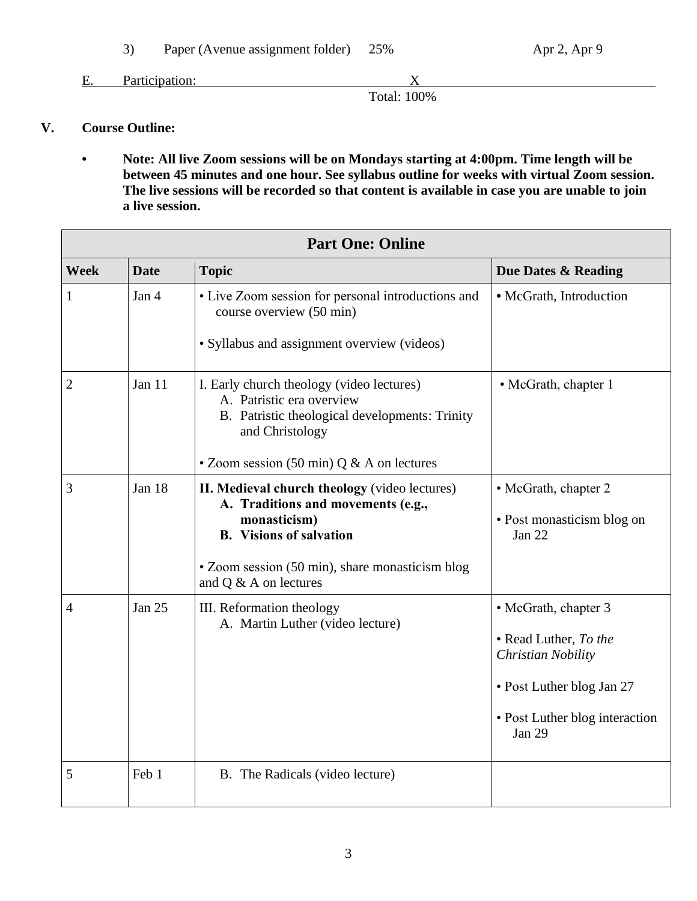3) Paper (Avenue assignment folder) 25% Apr 2, Apr 9

E. Participation: X

Total: 100%

# **V. Course Outline:**

**• Note: All live Zoom sessions will be on Mondays starting at 4:00pm. Time length will be between 45 minutes and one hour. See syllabus outline for weeks with virtual Zoom session. The live sessions will be recorded so that content is available in case you are unable to join a live session.**

| <b>Part One: Online</b> |                                                                                                                                        |                                                                                                                                                                                                                   |                                                                                                                                                     |  |  |
|-------------------------|----------------------------------------------------------------------------------------------------------------------------------------|-------------------------------------------------------------------------------------------------------------------------------------------------------------------------------------------------------------------|-----------------------------------------------------------------------------------------------------------------------------------------------------|--|--|
| <b>Week</b>             | <b>Date</b><br><b>Topic</b>                                                                                                            |                                                                                                                                                                                                                   | Due Dates & Reading                                                                                                                                 |  |  |
| 1                       | Jan 4<br>• Live Zoom session for personal introductions and<br>course overview (50 min)<br>· Syllabus and assignment overview (videos) |                                                                                                                                                                                                                   | • McGrath, Introduction                                                                                                                             |  |  |
| 2                       | Jan 11                                                                                                                                 | I. Early church theology (video lectures)<br>A. Patristic era overview<br>B. Patristic theological developments: Trinity<br>and Christology<br>• Zoom session (50 min) $Q & A$ on lectures                        | • McGrath, chapter 1                                                                                                                                |  |  |
| 3                       | Jan 18                                                                                                                                 | II. Medieval church theology (video lectures)<br>A. Traditions and movements (e.g.,<br>monasticism)<br><b>B.</b> Visions of salvation<br>• Zoom session (50 min), share monasticism blog<br>and Q & A on lectures | • McGrath, chapter 2<br>• Post monasticism blog on<br>Jan 22                                                                                        |  |  |
| 4                       | Jan 25                                                                                                                                 | III. Reformation theology<br>A. Martin Luther (video lecture)                                                                                                                                                     | • McGrath, chapter 3<br>• Read Luther, To the<br>Christian Nobility<br>• Post Luther blog Jan 27<br>• Post Luther blog interaction<br><b>Jan 29</b> |  |  |
| 5                       | Feb 1                                                                                                                                  | B. The Radicals (video lecture)                                                                                                                                                                                   |                                                                                                                                                     |  |  |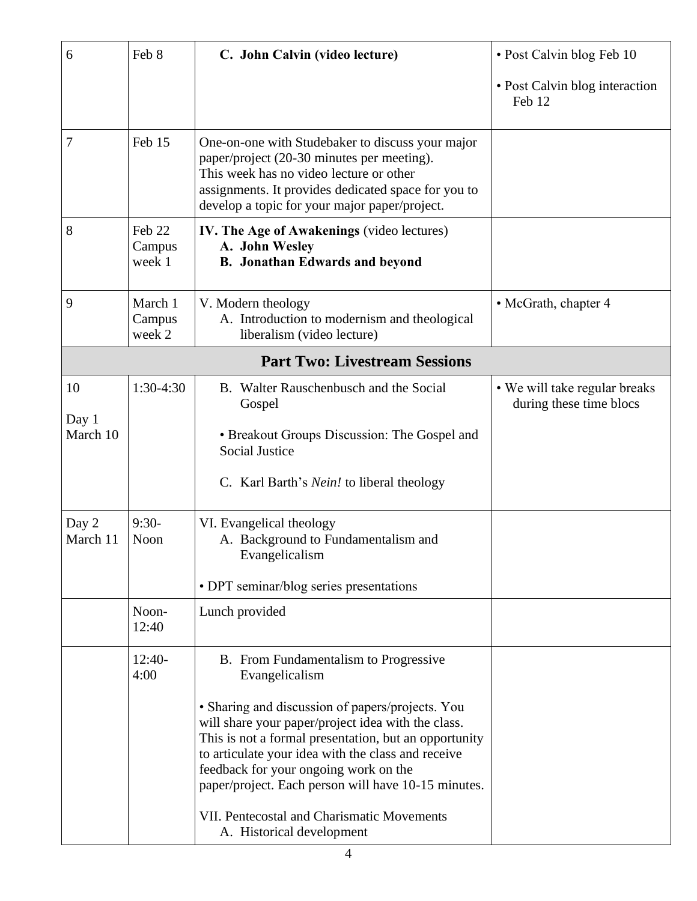| 6                 | Feb 8                       | C. John Calvin (video lecture)                                                                                                                                                                                                                                                                                                                                      | • Post Calvin blog Feb 10                                |
|-------------------|-----------------------------|---------------------------------------------------------------------------------------------------------------------------------------------------------------------------------------------------------------------------------------------------------------------------------------------------------------------------------------------------------------------|----------------------------------------------------------|
|                   |                             |                                                                                                                                                                                                                                                                                                                                                                     | • Post Calvin blog interaction<br>Feb 12                 |
| $\overline{7}$    | Feb 15                      | One-on-one with Studebaker to discuss your major<br>paper/project (20-30 minutes per meeting).<br>This week has no video lecture or other<br>assignments. It provides dedicated space for you to<br>develop a topic for your major paper/project.                                                                                                                   |                                                          |
| 8                 | Feb 22<br>Campus<br>week 1  | IV. The Age of Awakenings (video lectures)<br>A. John Wesley<br><b>B.</b> Jonathan Edwards and beyond                                                                                                                                                                                                                                                               |                                                          |
| 9                 | March 1<br>Campus<br>week 2 | V. Modern theology<br>A. Introduction to modernism and theological<br>liberalism (video lecture)                                                                                                                                                                                                                                                                    | • McGrath, chapter 4                                     |
|                   |                             | <b>Part Two: Livestream Sessions</b>                                                                                                                                                                                                                                                                                                                                |                                                          |
| 10                | 1:30-4:30                   | B. Walter Rauschenbusch and the Social<br>Gospel                                                                                                                                                                                                                                                                                                                    | • We will take regular breaks<br>during these time blocs |
| Day 1<br>March 10 |                             | • Breakout Groups Discussion: The Gospel and<br><b>Social Justice</b>                                                                                                                                                                                                                                                                                               |                                                          |
|                   |                             | C. Karl Barth's <i>Nein!</i> to liberal theology                                                                                                                                                                                                                                                                                                                    |                                                          |
| Day 2<br>March 11 | $9:30-$<br>Noon             | VI. Evangelical theology<br>A. Background to Fundamentalism and<br>Evangelicalism                                                                                                                                                                                                                                                                                   |                                                          |
|                   |                             | • DPT seminar/blog series presentations                                                                                                                                                                                                                                                                                                                             |                                                          |
|                   | Noon-<br>12:40              | Lunch provided                                                                                                                                                                                                                                                                                                                                                      |                                                          |
|                   | $12:40-$<br>4:00            | B. From Fundamentalism to Progressive<br>Evangelicalism                                                                                                                                                                                                                                                                                                             |                                                          |
|                   |                             | · Sharing and discussion of papers/projects. You<br>will share your paper/project idea with the class.<br>This is not a formal presentation, but an opportunity<br>to articulate your idea with the class and receive<br>feedback for your ongoing work on the<br>paper/project. Each person will have 10-15 minutes.<br>VII. Pentecostal and Charismatic Movements |                                                          |
|                   |                             | A. Historical development                                                                                                                                                                                                                                                                                                                                           |                                                          |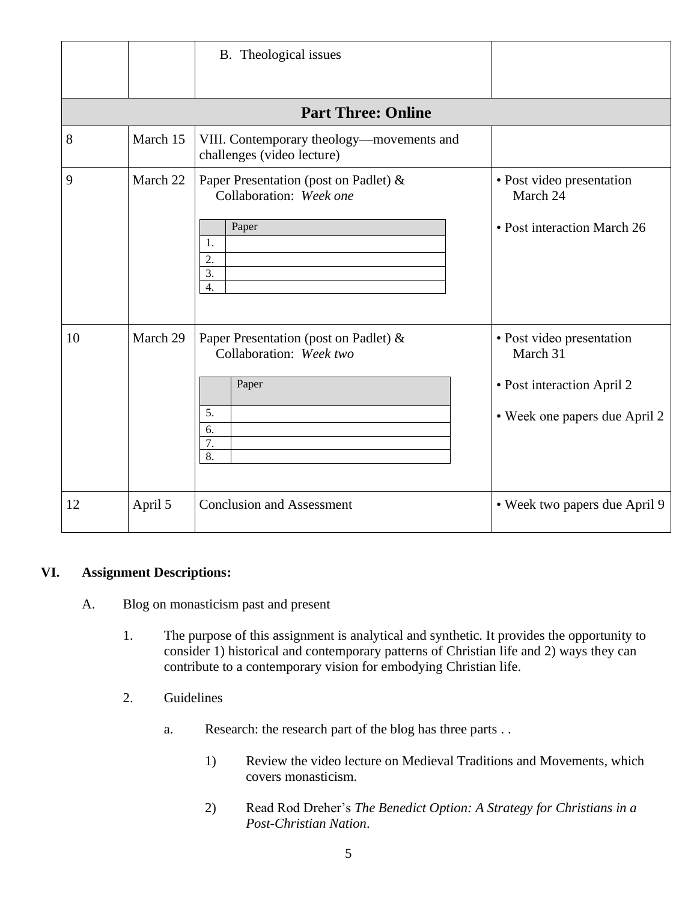|    |          | B. Theological issues                                                                             |                                                                                                      |
|----|----------|---------------------------------------------------------------------------------------------------|------------------------------------------------------------------------------------------------------|
|    |          | <b>Part Three: Online</b>                                                                         |                                                                                                      |
| 8  | March 15 | VIII. Contemporary theology-movements and<br>challenges (video lecture)                           |                                                                                                      |
| 9  | March 22 | Paper Presentation (post on Padlet) &<br>Collaboration: Week one<br>Paper<br>1.<br>2.<br>3.<br>4. | • Post video presentation<br>March 24<br>• Post interaction March 26                                 |
| 10 | March 29 | Paper Presentation (post on Padlet) &<br>Collaboration: Week two<br>Paper<br>5.<br>6.<br>7.<br>8. | · Post video presentation<br>March 31<br>• Post interaction April 2<br>• Week one papers due April 2 |
| 12 | April 5  | <b>Conclusion and Assessment</b>                                                                  | • Week two papers due April 9                                                                        |

## **VI. Assignment Descriptions:**

- A. Blog on monasticism past and present
	- 1. The purpose of this assignment is analytical and synthetic. It provides the opportunity to consider 1) historical and contemporary patterns of Christian life and 2) ways they can contribute to a contemporary vision for embodying Christian life.
	- 2. Guidelines
		- a. Research: the research part of the blog has three parts . .
			- 1) Review the video lecture on Medieval Traditions and Movements, which covers monasticism.
			- 2) Read Rod Dreher's *The Benedict Option: A Strategy for Christians in a Post-Christian Nation*.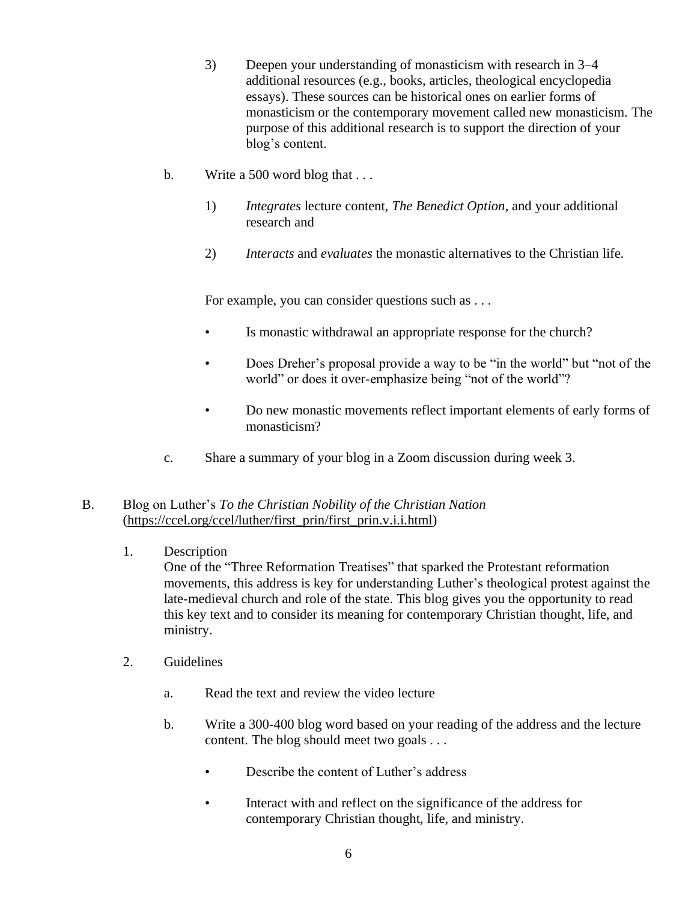- 3) Deepen your understanding of monasticism with research in 3–4 additional resources (e.g., books, articles, theological encyclopedia essays). These sources can be historical ones on earlier forms of monasticism or the contemporary movement called new monasticism. The purpose of this additional research is to support the direction of your blog's content.
- b. Write a 500 word blog that ...
	- 1) *Integrates* lecture content, *The Benedict Option*, and your additional research and
	- 2) *Interacts* and *evaluates* the monastic alternatives to the Christian life.

For example, you can consider questions such as . . .

- Is monastic withdrawal an appropriate response for the church?
- Does Dreher's proposal provide a way to be "in the world" but "not of the world" or does it over-emphasize being "not of the world"?
- Do new monastic movements reflect important elements of early forms of monasticism?
- c. Share a summary of your blog in a Zoom discussion during week 3.
- B. Blog on Luther's *To the Christian Nobility of the Christian Nation* (https://ccel.org/ccel/luther/first\_prin/first\_prin.v.i.i.html)

## 1. Description

One of the "Three Reformation Treatises" that sparked the Protestant reformation movements, this address is key for understanding Luther's theological protest against the late-medieval church and role of the state. This blog gives you the opportunity to read this key text and to consider its meaning for contemporary Christian thought, life, and ministry.

- 2. Guidelines
	- a. Read the text and review the video lecture
	- b. Write a 300-400 blog word based on your reading of the address and the lecture content. The blog should meet two goals . . .
		- Describe the content of Luther's address
		- Interact with and reflect on the significance of the address for contemporary Christian thought, life, and ministry.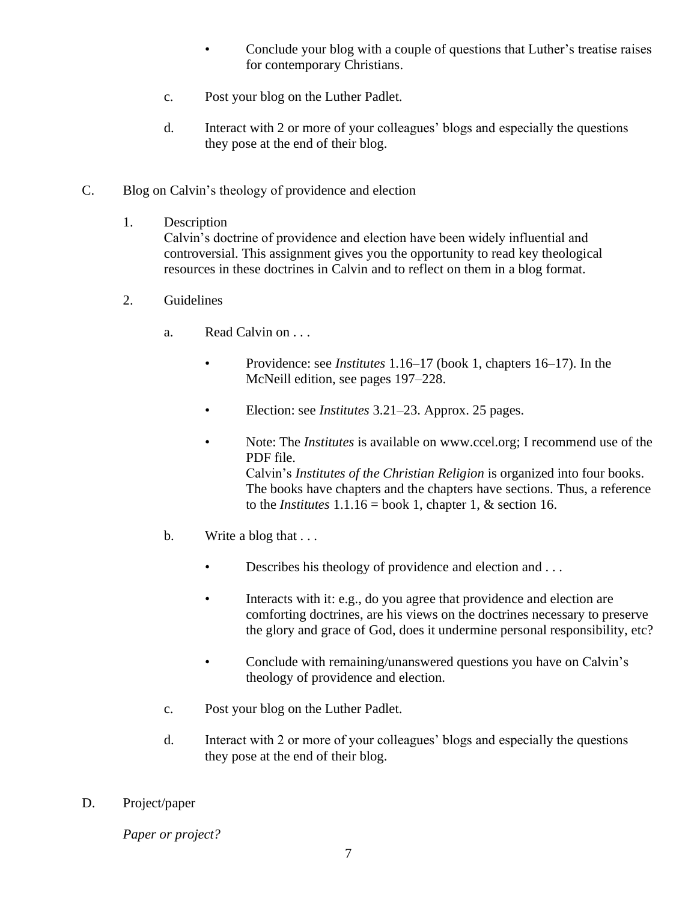- Conclude your blog with a couple of questions that Luther's treatise raises for contemporary Christians.
- c. Post your blog on the Luther Padlet.
- d. Interact with 2 or more of your colleagues' blogs and especially the questions they pose at the end of their blog.
- C. Blog on Calvin's theology of providence and election
	- 1. Description

Calvin's doctrine of providence and election have been widely influential and controversial. This assignment gives you the opportunity to read key theological resources in these doctrines in Calvin and to reflect on them in a blog format.

- 2. Guidelines
	- a. Read Calvin on . . .
		- Providence: see *Institutes* 1.16–17 (book 1, chapters 16–17). In the McNeill edition, see pages 197–228.
		- Election: see *Institutes* 3.21–23. Approx. 25 pages.
		- Note: The *Institutes* is available on [www.ccel.org;](http://www.ccel.org/) I recommend use of the PDF file. Calvin's *Institutes of the Christian Religion* is organized into four books. The books have chapters and the chapters have sections. Thus, a reference to the *Institutes*  $1.1.16 = \text{book } 1$ , chapter 1, & section 16.
	- b. Write a blog that ...
		- Describes his theology of providence and election and ...
		- Interacts with it: e.g., do you agree that providence and election are comforting doctrines, are his views on the doctrines necessary to preserve the glory and grace of God, does it undermine personal responsibility, etc?
		- Conclude with remaining/unanswered questions you have on Calvin's theology of providence and election.
	- c. Post your blog on the Luther Padlet.
	- d. Interact with 2 or more of your colleagues' blogs and especially the questions they pose at the end of their blog.
- D. Project/paper

*Paper or project?*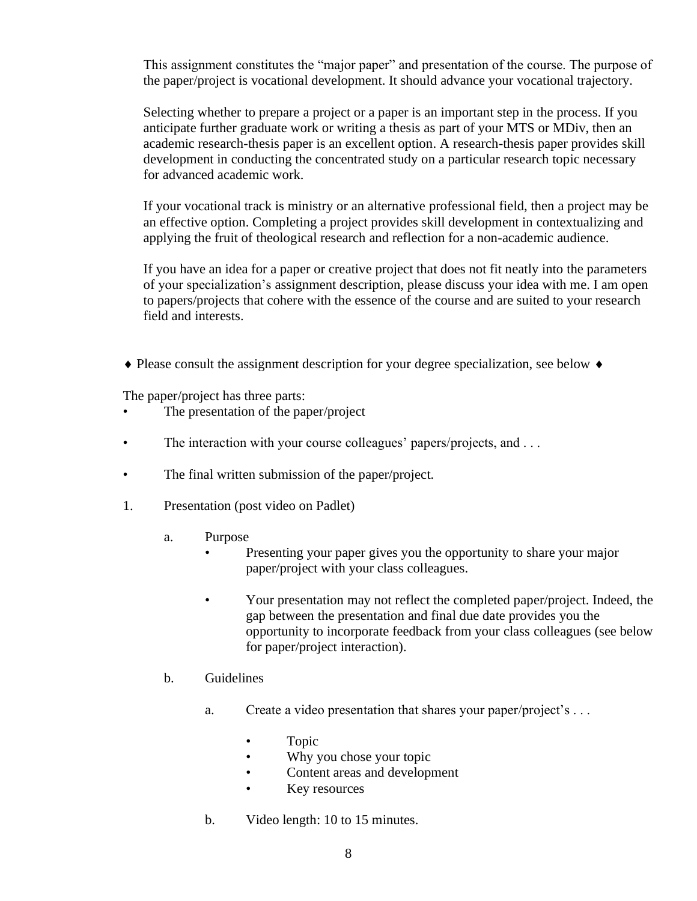This assignment constitutes the "major paper" and presentation of the course. The purpose of the paper/project is vocational development. It should advance your vocational trajectory.

Selecting whether to prepare a project or a paper is an important step in the process. If you anticipate further graduate work or writing a thesis as part of your MTS or MDiv, then an academic research-thesis paper is an excellent option. A research-thesis paper provides skill development in conducting the concentrated study on a particular research topic necessary for advanced academic work.

If your vocational track is ministry or an alternative professional field, then a project may be an effective option. Completing a project provides skill development in contextualizing and applying the fruit of theological research and reflection for a non-academic audience.

If you have an idea for a paper or creative project that does not fit neatly into the parameters of your specialization's assignment description, please discuss your idea with me. I am open to papers/projects that cohere with the essence of the course and are suited to your research field and interests.

 $\triangle$  Please consult the assignment description for your degree specialization, see below  $\triangle$ 

The paper/project has three parts:

- The presentation of the paper/project
- The interaction with your course colleagues' papers/projects, and ...
- The final written submission of the paper/project.
- 1. Presentation (post video on Padlet)
	- a. Purpose
		- Presenting your paper gives you the opportunity to share your major paper/project with your class colleagues.
		- Your presentation may not reflect the completed paper/project. Indeed, the gap between the presentation and final due date provides you the opportunity to incorporate feedback from your class colleagues (see below for paper/project interaction).
	- b. Guidelines
		- a. Create a video presentation that shares your paper/project's . . .
			- Topic
			- Why you chose your topic
			- Content areas and development
			- Key resources
		- b. Video length: 10 to 15 minutes.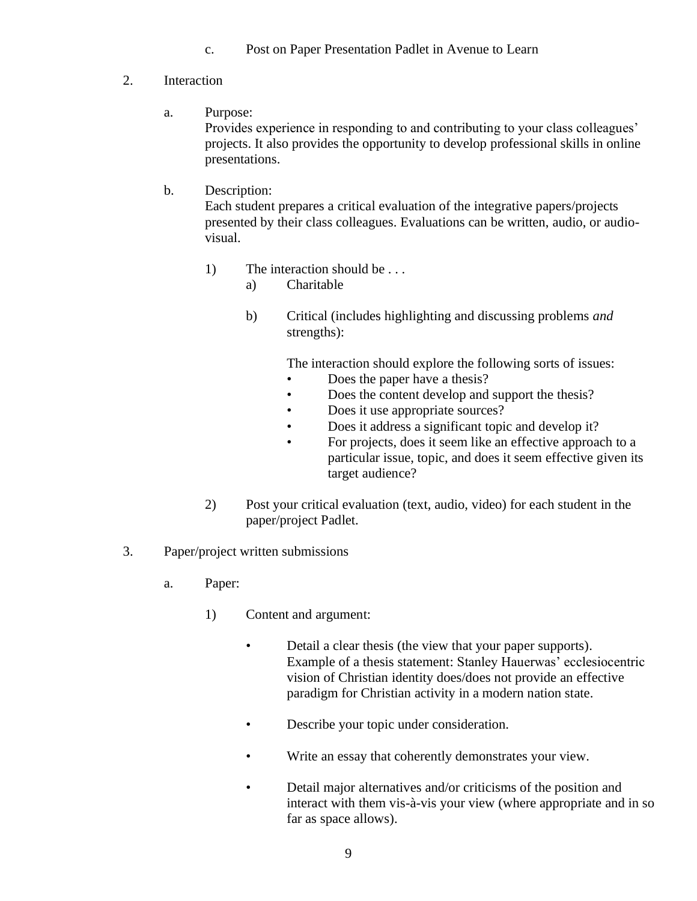- c. Post on Paper Presentation Padlet in Avenue to Learn
- 2. Interaction
	- a. Purpose:

Provides experience in responding to and contributing to your class colleagues' projects. It also provides the opportunity to develop professional skills in online presentations.

# b. Description:

Each student prepares a critical evaluation of the integrative papers/projects presented by their class colleagues. Evaluations can be written, audio, or audiovisual.

- 1) The interaction should be ...
	- a) Charitable
	- b) Critical (includes highlighting and discussing problems *and* strengths):

The interaction should explore the following sorts of issues:

- Does the paper have a thesis?
- Does the content develop and support the thesis?
- Does it use appropriate sources?
- Does it address a significant topic and develop it?
- For projects, does it seem like an effective approach to a particular issue, topic, and does it seem effective given its target audience?
- 2) Post your critical evaluation (text, audio, video) for each student in the paper/project Padlet.
- 3. Paper/project written submissions
	- a. Paper:
		- 1) Content and argument:
			- Detail a clear thesis (the view that your paper supports). Example of a thesis statement: Stanley Hauerwas' ecclesiocentric vision of Christian identity does/does not provide an effective paradigm for Christian activity in a modern nation state.
			- Describe your topic under consideration.
			- Write an essay that coherently demonstrates your view.
			- Detail major alternatives and/or criticisms of the position and interact with them vis-à-vis your view (where appropriate and in so far as space allows).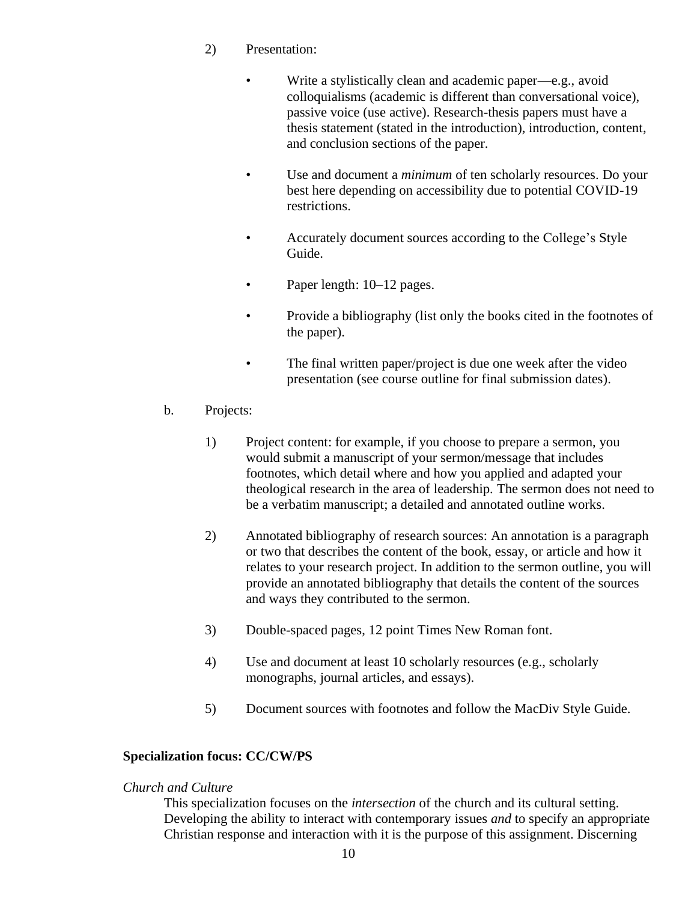- 2) Presentation:
	- Write a stylistically clean and academic paper—e.g., avoid colloquialisms (academic is different than conversational voice), passive voice (use active). Research-thesis papers must have a thesis statement (stated in the introduction), introduction, content, and conclusion sections of the paper.
	- Use and document a *minimum* of ten scholarly resources. Do your best here depending on accessibility due to potential COVID-19 restrictions.
	- Accurately document sources according to the College's Style Guide.
	- Paper length: 10–12 pages.
	- Provide a bibliography (list only the books cited in the footnotes of the paper).
	- The final written paper/project is due one week after the video presentation (see course outline for final submission dates).
- b. Projects:
	- 1) Project content: for example, if you choose to prepare a sermon, you would submit a manuscript of your sermon/message that includes footnotes, which detail where and how you applied and adapted your theological research in the area of leadership. The sermon does not need to be a verbatim manuscript; a detailed and annotated outline works.
	- 2) Annotated bibliography of research sources: An annotation is a paragraph or two that describes the content of the book, essay, or article and how it relates to your research project. In addition to the sermon outline, you will provide an annotated bibliography that details the content of the sources and ways they contributed to the sermon.
	- 3) Double-spaced pages, 12 point Times New Roman font.
	- 4) Use and document at least 10 scholarly resources (e.g., scholarly monographs, journal articles, and essays).
	- 5) Document sources with footnotes and follow the MacDiv Style Guide.

## **Specialization focus: CC/CW/PS**

#### *Church and Culture*

This specialization focuses on the *intersection* of the church and its cultural setting. Developing the ability to interact with contemporary issues *and* to specify an appropriate Christian response and interaction with it is the purpose of this assignment. Discerning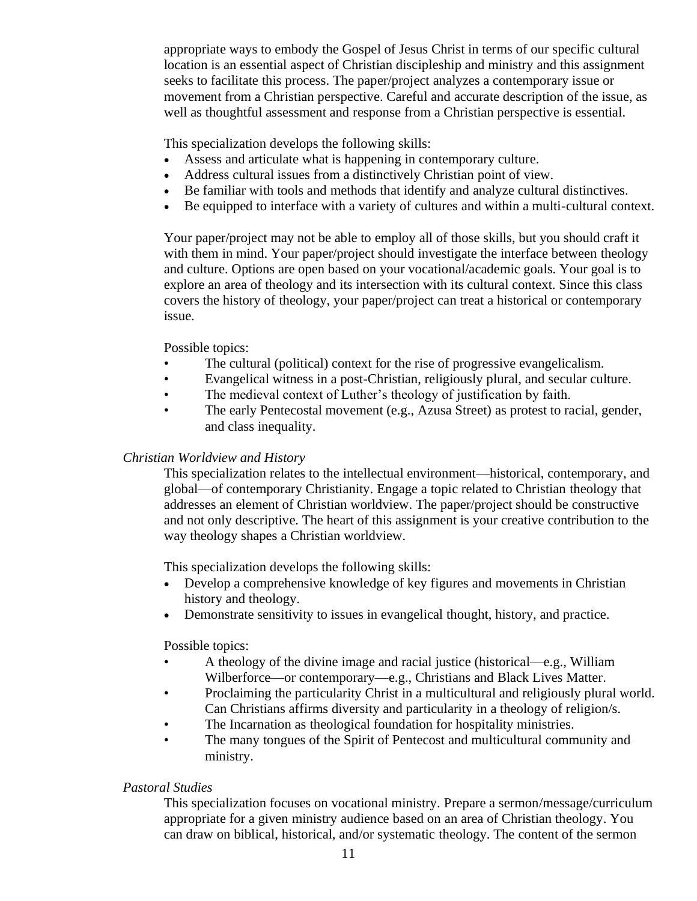appropriate ways to embody the Gospel of Jesus Christ in terms of our specific cultural location is an essential aspect of Christian discipleship and ministry and this assignment seeks to facilitate this process. The paper/project analyzes a contemporary issue or movement from a Christian perspective. Careful and accurate description of the issue, as well as thoughtful assessment and response from a Christian perspective is essential.

This specialization develops the following skills:

- Assess and articulate what is happening in contemporary culture.
- Address cultural issues from a distinctively Christian point of view.
- Be familiar with tools and methods that identify and analyze cultural distinctives.
- Be equipped to interface with a variety of cultures and within a multi-cultural context.

Your paper/project may not be able to employ all of those skills, but you should craft it with them in mind. Your paper/project should investigate the interface between theology and culture. Options are open based on your vocational/academic goals. Your goal is to explore an area of theology and its intersection with its cultural context. Since this class covers the history of theology, your paper/project can treat a historical or contemporary issue.

Possible topics:

- The cultural (political) context for the rise of progressive evangelicalism.
- Evangelical witness in a post-Christian, religiously plural, and secular culture.
- The medieval context of Luther's theology of justification by faith.
- The early Pentecostal movement (e.g., Azusa Street) as protest to racial, gender, and class inequality.

#### *Christian Worldview and History*

This specialization relates to the intellectual environment—historical, contemporary, and global—of contemporary Christianity. Engage a topic related to Christian theology that addresses an element of Christian worldview. The paper/project should be constructive and not only descriptive. The heart of this assignment is your creative contribution to the way theology shapes a Christian worldview.

This specialization develops the following skills:

- Develop a comprehensive knowledge of key figures and movements in Christian history and theology.
- Demonstrate sensitivity to issues in evangelical thought, history, and practice.

Possible topics:

- A theology of the divine image and racial justice (historical—e.g., William Wilberforce—or contemporary—e.g., Christians and Black Lives Matter.
- Proclaiming the particularity Christ in a multicultural and religiously plural world. Can Christians affirms diversity and particularity in a theology of religion/s.
- The Incarnation as theological foundation for hospitality ministries.
- The many tongues of the Spirit of Pentecost and multicultural community and ministry.

## *Pastoral Studies*

This specialization focuses on vocational ministry. Prepare a sermon/message/curriculum appropriate for a given ministry audience based on an area of Christian theology. You can draw on biblical, historical, and/or systematic theology. The content of the sermon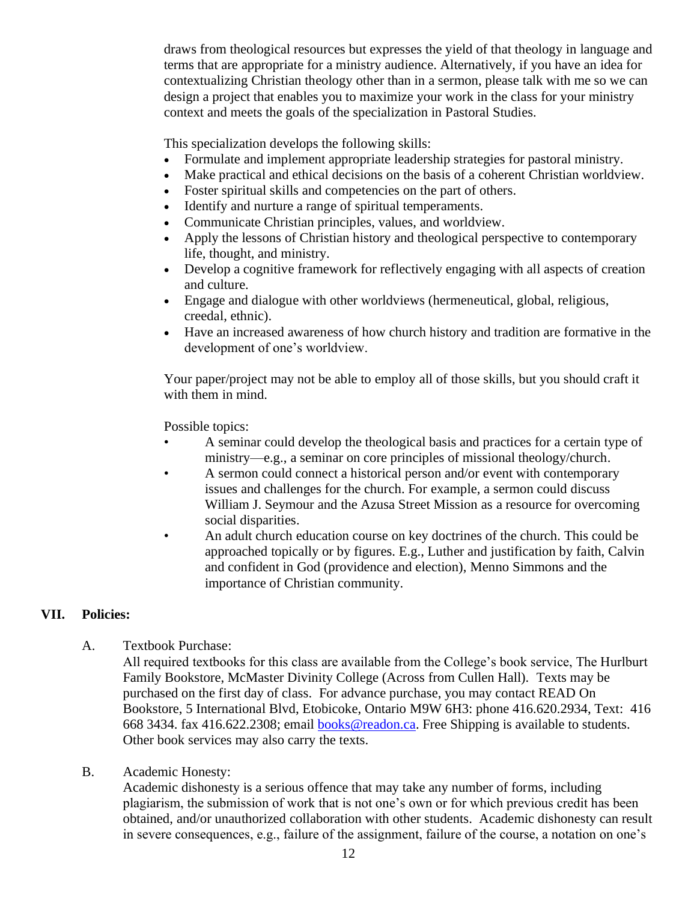draws from theological resources but expresses the yield of that theology in language and terms that are appropriate for a ministry audience. Alternatively, if you have an idea for contextualizing Christian theology other than in a sermon, please talk with me so we can design a project that enables you to maximize your work in the class for your ministry context and meets the goals of the specialization in Pastoral Studies.

This specialization develops the following skills:

- Formulate and implement appropriate leadership strategies for pastoral ministry.
- Make practical and ethical decisions on the basis of a coherent Christian worldview.
- Foster spiritual skills and competencies on the part of others.
- Identify and nurture a range of spiritual temperaments.
- Communicate Christian principles, values, and worldview.
- Apply the lessons of Christian history and theological perspective to contemporary life, thought, and ministry.
- Develop a cognitive framework for reflectively engaging with all aspects of creation and culture.
- Engage and dialogue with other worldviews (hermeneutical, global, religious, creedal, ethnic).
- Have an increased awareness of how church history and tradition are formative in the development of one's worldview.

Your paper/project may not be able to employ all of those skills, but you should craft it with them in mind.

Possible topics:

- A seminar could develop the theological basis and practices for a certain type of ministry—e.g., a seminar on core principles of missional theology/church.
- A sermon could connect a historical person and/or event with contemporary issues and challenges for the church. For example, a sermon could discuss William J. Seymour and the Azusa Street Mission as a resource for overcoming social disparities.
- An adult church education course on key doctrines of the church. This could be approached topically or by figures. E.g., Luther and justification by faith, Calvin and confident in God (providence and election), Menno Simmons and the importance of Christian community.

## **VII. Policies:**

A. Textbook Purchase:

All required textbooks for this class are available from the College's book service, The Hurlburt Family Bookstore, McMaster Divinity College (Across from Cullen Hall). Texts may be purchased on the first day of class. For advance purchase, you may contact READ On Bookstore, 5 International Blvd, Etobicoke, Ontario M9W 6H3: phone 416.620.2934, Text: 416 668 3434. fax 416.622.2308; email [books@readon.ca.](mailto:books@readon.ca) Free Shipping is available to students. Other book services may also carry the texts.

B. Academic Honesty:

Academic dishonesty is a serious offence that may take any number of forms, including plagiarism, the submission of work that is not one's own or for which previous credit has been obtained, and/or unauthorized collaboration with other students. Academic dishonesty can result in severe consequences, e.g., failure of the assignment, failure of the course, a notation on one's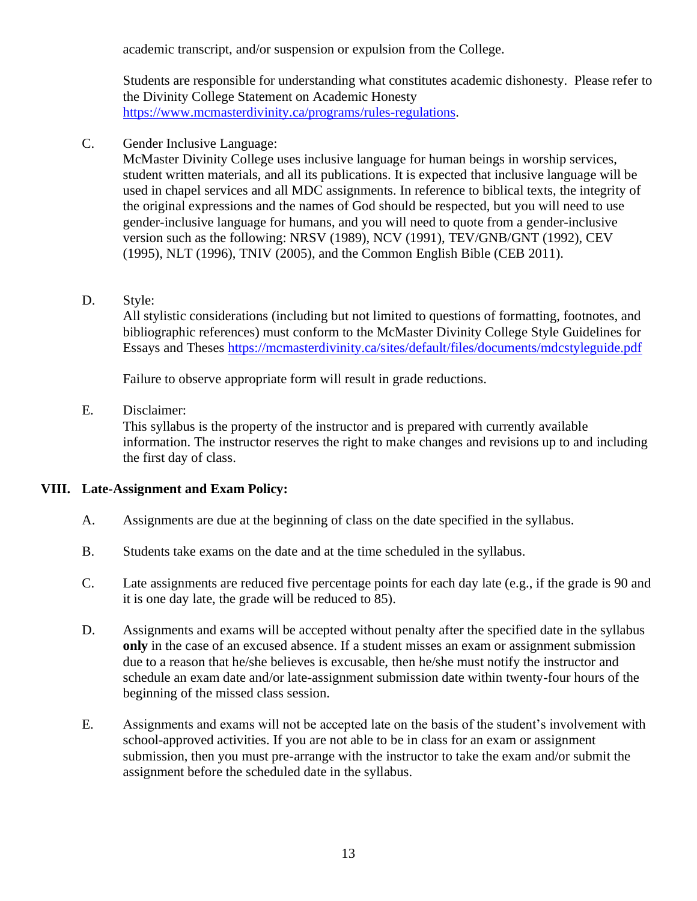academic transcript, and/or suspension or expulsion from the College.

Students are responsible for understanding what constitutes academic dishonesty. Please refer to the Divinity College Statement on Academic Honesty [https://www.mcmasterdivinity.ca/programs/rules-regulations.](https://www.mcmasterdivinity.ca/programs/rules-regulations)

C. Gender Inclusive Language:

McMaster Divinity College uses inclusive language for human beings in worship services, student written materials, and all its publications. It is expected that inclusive language will be used in chapel services and all MDC assignments. In reference to biblical texts, the integrity of the original expressions and the names of God should be respected, but you will need to use gender-inclusive language for humans, and you will need to quote from a gender-inclusive version such as the following: NRSV (1989), NCV (1991), TEV/GNB/GNT (1992), CEV (1995), NLT (1996), TNIV (2005), and the Common English Bible (CEB 2011).

#### D. Style:

All stylistic considerations (including but not limited to questions of formatting, footnotes, and bibliographic references) must conform to the McMaster Divinity College Style Guidelines for Essays and Theses<https://mcmasterdivinity.ca/sites/default/files/documents/mdcstyleguide.pdf>

Failure to observe appropriate form will result in grade reductions.

E. Disclaimer:

This syllabus is the property of the instructor and is prepared with currently available information. The instructor reserves the right to make changes and revisions up to and including the first day of class.

## **VIII. Late-Assignment and Exam Policy:**

- A. Assignments are due at the beginning of class on the date specified in the syllabus.
- B. Students take exams on the date and at the time scheduled in the syllabus.
- C. Late assignments are reduced five percentage points for each day late (e.g., if the grade is 90 and it is one day late, the grade will be reduced to 85).
- D. Assignments and exams will be accepted without penalty after the specified date in the syllabus **only** in the case of an excused absence. If a student misses an exam or assignment submission due to a reason that he/she believes is excusable, then he/she must notify the instructor and schedule an exam date and/or late-assignment submission date within twenty-four hours of the beginning of the missed class session.
- E. Assignments and exams will not be accepted late on the basis of the student's involvement with school-approved activities. If you are not able to be in class for an exam or assignment submission, then you must pre-arrange with the instructor to take the exam and/or submit the assignment before the scheduled date in the syllabus.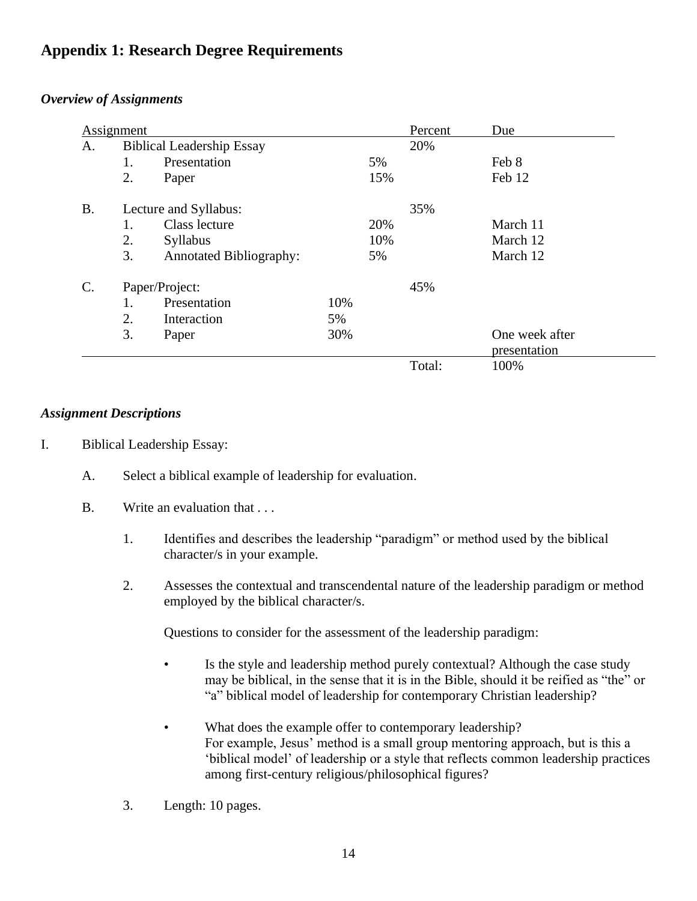# **Appendix 1: Research Degree Requirements**

#### *Overview of Assignments*

| Assignment      |                       |                                  |     |     | Percent | Due                            |
|-----------------|-----------------------|----------------------------------|-----|-----|---------|--------------------------------|
| A.              |                       | <b>Biblical Leadership Essay</b> | 20% |     |         |                                |
|                 | 1.                    | Presentation                     |     | 5%  |         | Feb 8                          |
|                 | 2.                    | Paper                            |     | 15% |         | Feb 12                         |
| <b>B.</b>       | Lecture and Syllabus: |                                  |     |     | 35%     |                                |
|                 | 1.                    | Class lecture                    |     | 20% |         | March 11                       |
|                 | 2.                    | <b>Syllabus</b>                  |     | 10% |         | March 12                       |
|                 | 3.                    | <b>Annotated Bibliography:</b>   |     | 5%  |         | March 12                       |
| $\mathcal{C}$ . | Paper/Project:        |                                  |     |     | 45%     |                                |
|                 | 1.                    | Presentation                     | 10% |     |         |                                |
|                 | 2.                    | Interaction                      | 5%  |     |         |                                |
|                 | 3.                    | Paper                            | 30% |     |         | One week after<br>presentation |
|                 |                       |                                  |     |     | Total:  | 100%                           |

#### *Assignment Descriptions*

- I. Biblical Leadership Essay:
	- A. Select a biblical example of leadership for evaluation.
	- B. Write an evaluation that ...
		- 1. Identifies and describes the leadership "paradigm" or method used by the biblical character/s in your example.
		- 2. Assesses the contextual and transcendental nature of the leadership paradigm or method employed by the biblical character/s.

Questions to consider for the assessment of the leadership paradigm:

- Is the style and leadership method purely contextual? Although the case study may be biblical, in the sense that it is in the Bible, should it be reified as "the" or "a" biblical model of leadership for contemporary Christian leadership?
- What does the example offer to contemporary leadership? For example, Jesus' method is a small group mentoring approach, but is this a 'biblical model' of leadership or a style that reflects common leadership practices among first-century religious/philosophical figures?
- 3. Length: 10 pages.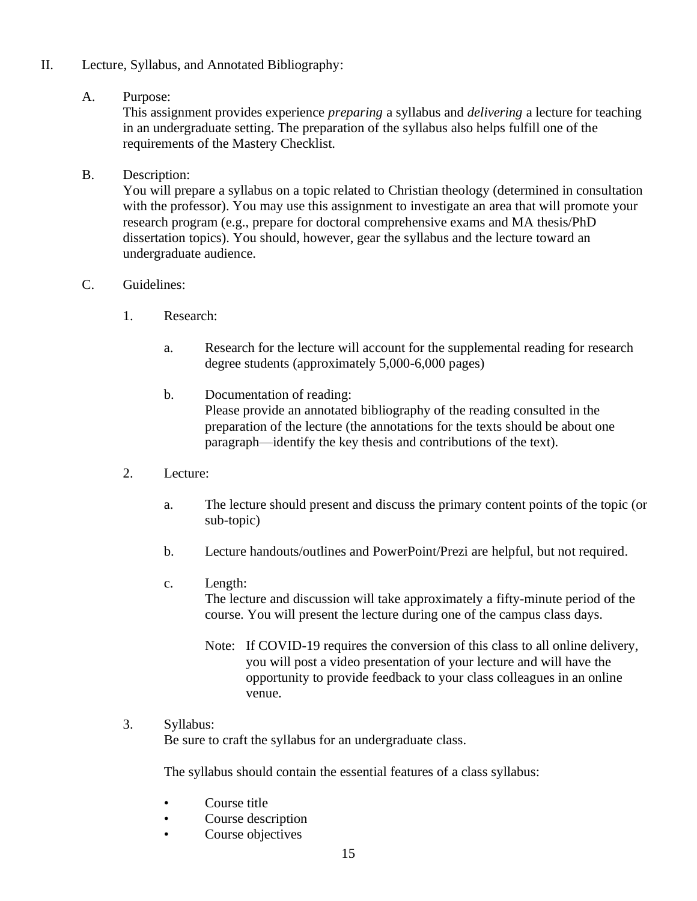II. Lecture, Syllabus, and Annotated Bibliography:

#### A. Purpose:

This assignment provides experience *preparing* a syllabus and *delivering* a lecture for teaching in an undergraduate setting. The preparation of the syllabus also helps fulfill one of the requirements of the Mastery Checklist.

B. Description:

You will prepare a syllabus on a topic related to Christian theology (determined in consultation with the professor). You may use this assignment to investigate an area that will promote your research program (e.g., prepare for doctoral comprehensive exams and MA thesis/PhD dissertation topics). You should, however, gear the syllabus and the lecture toward an undergraduate audience.

#### C. Guidelines:

- 1. Research:
	- a. Research for the lecture will account for the supplemental reading for research degree students (approximately 5,000-6,000 pages)
	- b. Documentation of reading: Please provide an annotated bibliography of the reading consulted in the preparation of the lecture (the annotations for the texts should be about one paragraph—identify the key thesis and contributions of the text).
- 2. Lecture:
	- a. The lecture should present and discuss the primary content points of the topic (or sub-topic)
	- b. Lecture handouts/outlines and PowerPoint/Prezi are helpful, but not required.
	- c. Length:

The lecture and discussion will take approximately a fifty-minute period of the course. You will present the lecture during one of the campus class days.

Note: If COVID-19 requires the conversion of this class to all online delivery, you will post a video presentation of your lecture and will have the opportunity to provide feedback to your class colleagues in an online venue.

## 3. Syllabus:

Be sure to craft the syllabus for an undergraduate class.

The syllabus should contain the essential features of a class syllabus:

- Course title
- Course description
- Course objectives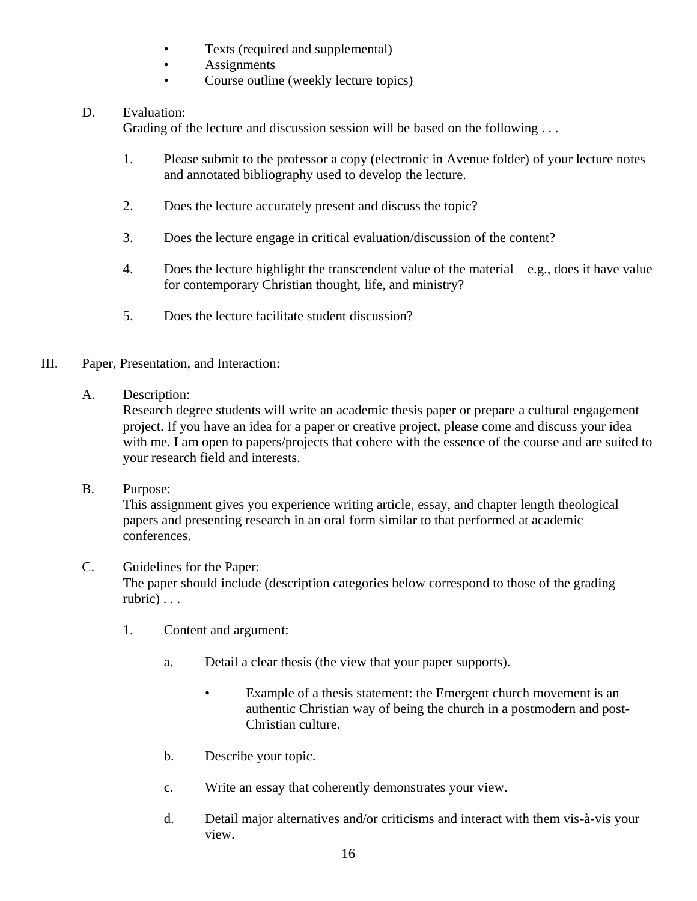- Texts (required and supplemental)
- **Assignments**
- Course outline (weekly lecture topics)

# D. Evaluation:

Grading of the lecture and discussion session will be based on the following ...

- 1. Please submit to the professor a copy (electronic in Avenue folder) of your lecture notes and annotated bibliography used to develop the lecture.
- 2. Does the lecture accurately present and discuss the topic?
- 3. Does the lecture engage in critical evaluation/discussion of the content?
- 4. Does the lecture highlight the transcendent value of the material—e.g., does it have value for contemporary Christian thought, life, and ministry?
- 5. Does the lecture facilitate student discussion?
- III. Paper, Presentation, and Interaction:
	- A. Description:

Research degree students will write an academic thesis paper or prepare a cultural engagement project. If you have an idea for a paper or creative project, please come and discuss your idea with me. I am open to papers/projects that cohere with the essence of the course and are suited to your research field and interests.

B. Purpose:

This assignment gives you experience writing article, essay, and chapter length theological papers and presenting research in an oral form similar to that performed at academic conferences.

# C. Guidelines for the Paper:

The paper should include (description categories below correspond to those of the grading rubric) . . .

- 1. Content and argument:
	- a. Detail a clear thesis (the view that your paper supports).
		- Example of a thesis statement: the Emergent church movement is an authentic Christian way of being the church in a postmodern and post-Christian culture.
	- b. Describe your topic.
	- c. Write an essay that coherently demonstrates your view.
	- d. Detail major alternatives and/or criticisms and interact with them vis-à-vis your view.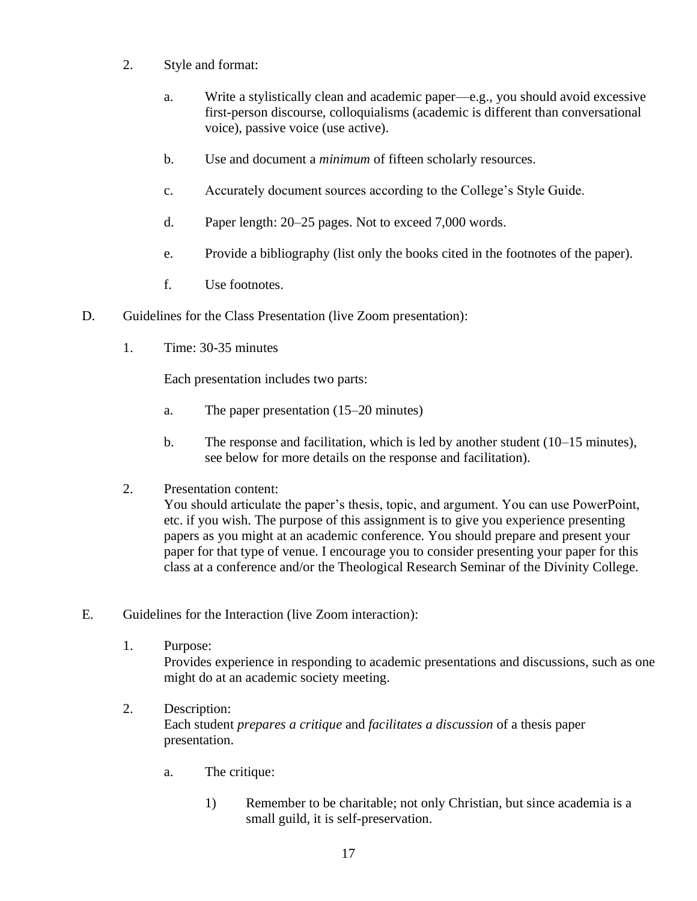- 2. Style and format:
	- a. Write a stylistically clean and academic paper—e.g., you should avoid excessive first-person discourse, colloquialisms (academic is different than conversational voice), passive voice (use active).
	- b. Use and document a *minimum* of fifteen scholarly resources.
	- c. Accurately document sources according to the College's Style Guide.
	- d. Paper length: 20–25 pages. Not to exceed 7,000 words.
	- e. Provide a bibliography (list only the books cited in the footnotes of the paper).
	- f. Use footnotes.
- D. Guidelines for the Class Presentation (live Zoom presentation):
	- 1. Time: 30-35 minutes

Each presentation includes two parts:

- a. The paper presentation (15–20 minutes)
- b. The response and facilitation, which is led by another student (10–15 minutes), see below for more details on the response and facilitation).
- 2. Presentation content:

You should articulate the paper's thesis, topic, and argument. You can use PowerPoint, etc. if you wish. The purpose of this assignment is to give you experience presenting papers as you might at an academic conference. You should prepare and present your paper for that type of venue. I encourage you to consider presenting your paper for this class at a conference and/or the Theological Research Seminar of the Divinity College.

- E. Guidelines for the Interaction (live Zoom interaction):
	- 1. Purpose:

Provides experience in responding to academic presentations and discussions, such as one might do at an academic society meeting.

- 2. Description: Each student *prepares a critique* and *facilitates a discussion* of a thesis paper presentation.
	- a. The critique:
		- 1) Remember to be charitable; not only Christian, but since academia is a small guild, it is self-preservation.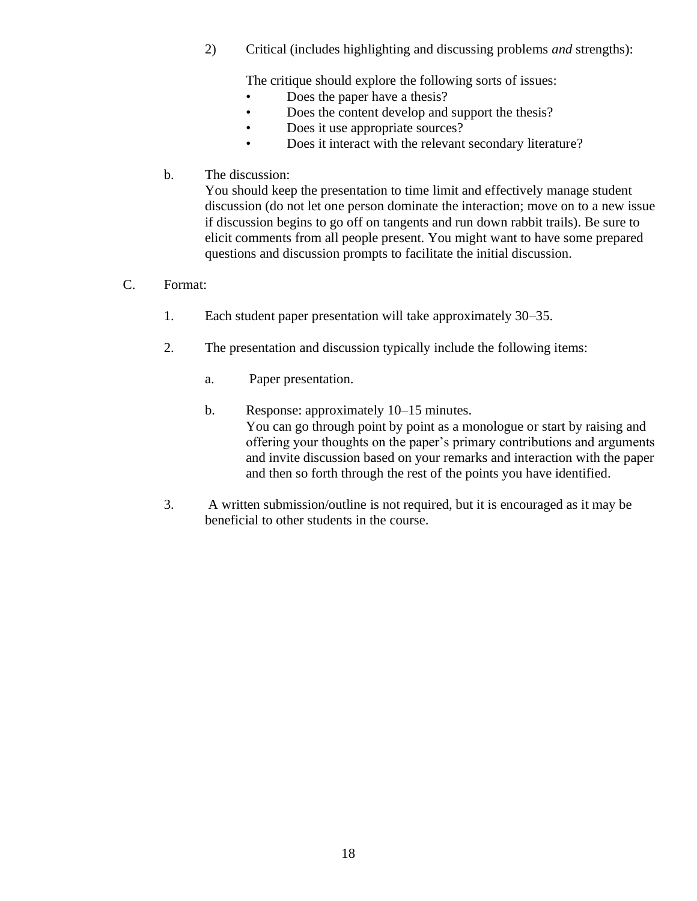2) Critical (includes highlighting and discussing problems *and* strengths):

The critique should explore the following sorts of issues:

- Does the paper have a thesis?
- Does the content develop and support the thesis?
- Does it use appropriate sources?
- Does it interact with the relevant secondary literature?
- b. The discussion:

You should keep the presentation to time limit and effectively manage student discussion (do not let one person dominate the interaction; move on to a new issue if discussion begins to go off on tangents and run down rabbit trails). Be sure to elicit comments from all people present. You might want to have some prepared questions and discussion prompts to facilitate the initial discussion.

- C. Format:
	- 1. Each student paper presentation will take approximately 30–35.
	- 2. The presentation and discussion typically include the following items:
		- a. Paper presentation.
		- b. Response: approximately 10–15 minutes. You can go through point by point as a monologue or start by raising and offering your thoughts on the paper's primary contributions and arguments and invite discussion based on your remarks and interaction with the paper and then so forth through the rest of the points you have identified.
	- 3. A written submission/outline is not required, but it is encouraged as it may be beneficial to other students in the course.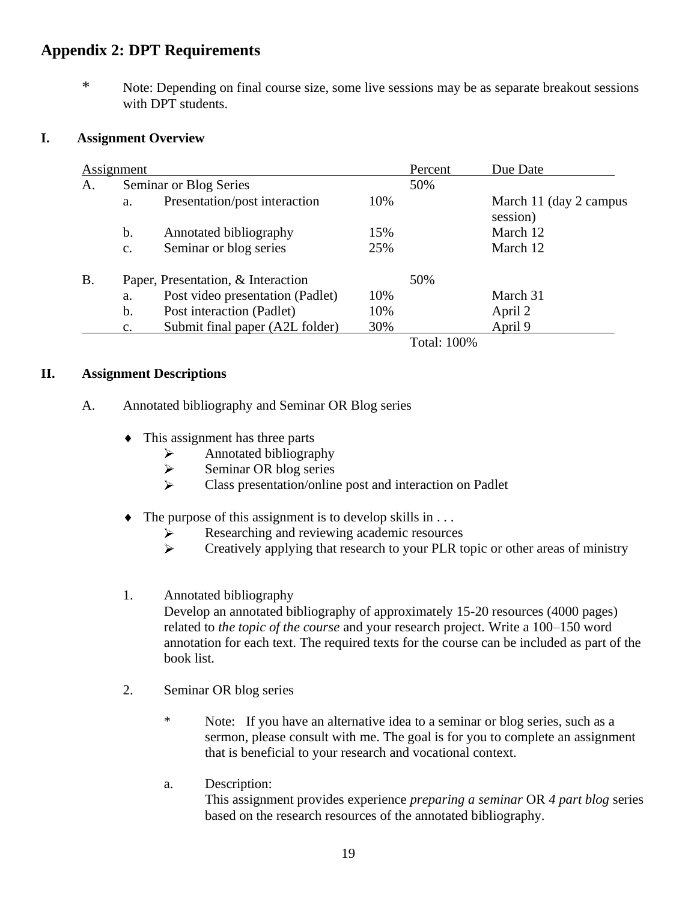# **Appendix 2: DPT Requirements**

\* Note: Depending on final course size, some live sessions may be as separate breakout sessions with DPT students.

#### **I. Assignment Overview**

|           | Assignment                         |                                  | Percent | Due Date        |                                     |
|-----------|------------------------------------|----------------------------------|---------|-----------------|-------------------------------------|
| A.        |                                    | Seminar or Blog Series           | 50%     |                 |                                     |
|           | a.                                 | Presentation/post interaction    | 10%     |                 | March 11 (day 2 campus)<br>session) |
|           | b.                                 | Annotated bibliography           | 15%     |                 | March 12                            |
|           | c.                                 | Seminar or blog series           | 25%     |                 | March 12                            |
| <b>B.</b> | Paper, Presentation, & Interaction |                                  |         | 50%             |                                     |
|           | a.                                 | Post video presentation (Padlet) | 10%     |                 | March 31                            |
|           | b.                                 | Post interaction (Padlet)        | 10%     |                 | April 2                             |
|           | $\mathbf{c}$ .                     | Submit final paper (A2L folder)  | 30%     |                 | April 9                             |
|           |                                    |                                  |         | $T \sim 1.1000$ |                                     |

Total: 100%

#### **II. Assignment Descriptions**

#### A. Annotated bibliography and Seminar OR Blog series

- This assignment has three parts
	- Annotated bibliography ➤
	- $\blacktriangleright$ Seminar OR blog series
	- $\blacktriangleright$ Class presentation/online post and interaction on Padlet
- $\bullet$  The purpose of this assignment is to develop skills in ...
	- Researching and reviewing academic resources ➤
	- $\tilde{\blacktriangleright}$ Creatively applying that research to your PLR topic or other areas of ministry
- 1. Annotated bibliography

Develop an annotated bibliography of approximately 15-20 resources (4000 pages) related to *the topic of the course* and your research project. Write a 100–150 word annotation for each text. The required texts for the course can be included as part of the book list.

- 2. Seminar OR blog series
	- \* Note: If you have an alternative idea to a seminar or blog series, such as a sermon, please consult with me. The goal is for you to complete an assignment that is beneficial to your research and vocational context.
	- a. Description: This assignment provides experience *preparing a seminar* OR *4 part blog* series based on the research resources of the annotated bibliography.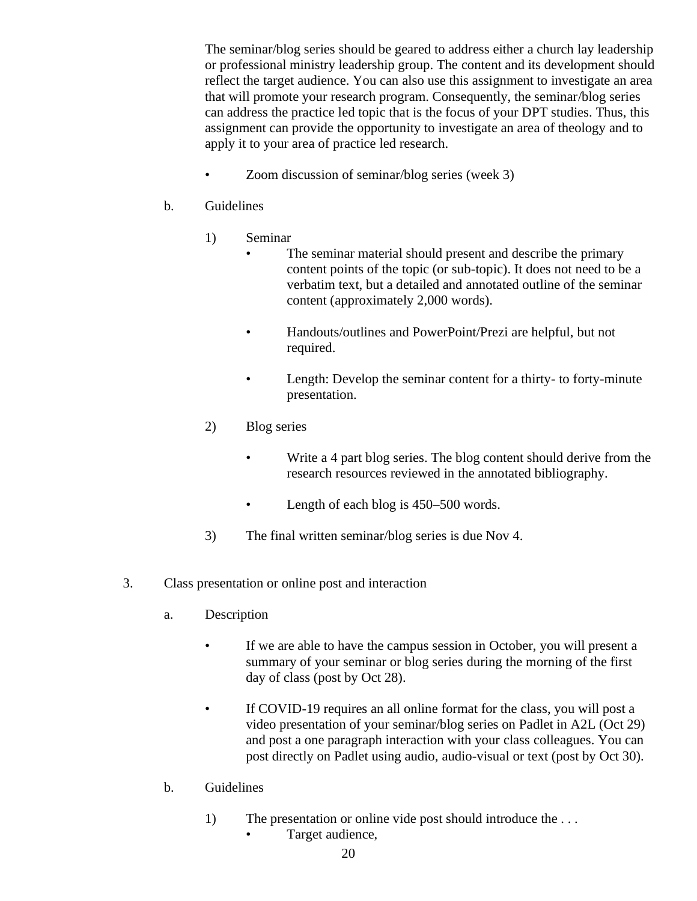The seminar/blog series should be geared to address either a church lay leadership or professional ministry leadership group. The content and its development should reflect the target audience. You can also use this assignment to investigate an area that will promote your research program. Consequently, the seminar/blog series can address the practice led topic that is the focus of your DPT studies. Thus, this assignment can provide the opportunity to investigate an area of theology and to apply it to your area of practice led research.

• Zoom discussion of seminar/blog series (week 3)

# b. Guidelines

- 1) Seminar
	- The seminar material should present and describe the primary content points of the topic (or sub-topic). It does not need to be a verbatim text, but a detailed and annotated outline of the seminar content (approximately 2,000 words).
	- Handouts/outlines and PowerPoint/Prezi are helpful, but not required.
	- Length: Develop the seminar content for a thirty- to forty-minute presentation.
- 2) Blog series
	- Write a 4 part blog series. The blog content should derive from the research resources reviewed in the annotated bibliography.
	- Length of each blog is 450–500 words.
- 3) The final written seminar/blog series is due Nov 4.
- 3. Class presentation or online post and interaction
	- a. Description
		- If we are able to have the campus session in October, you will present a summary of your seminar or blog series during the morning of the first day of class (post by Oct 28).
		- If COVID-19 requires an all online format for the class, you will post a video presentation of your seminar/blog series on Padlet in A2L (Oct 29) and post a one paragraph interaction with your class colleagues. You can post directly on Padlet using audio, audio-visual or text (post by Oct 30).
	- b. Guidelines
		- 1) The presentation or online vide post should introduce the ...
			- Target audience,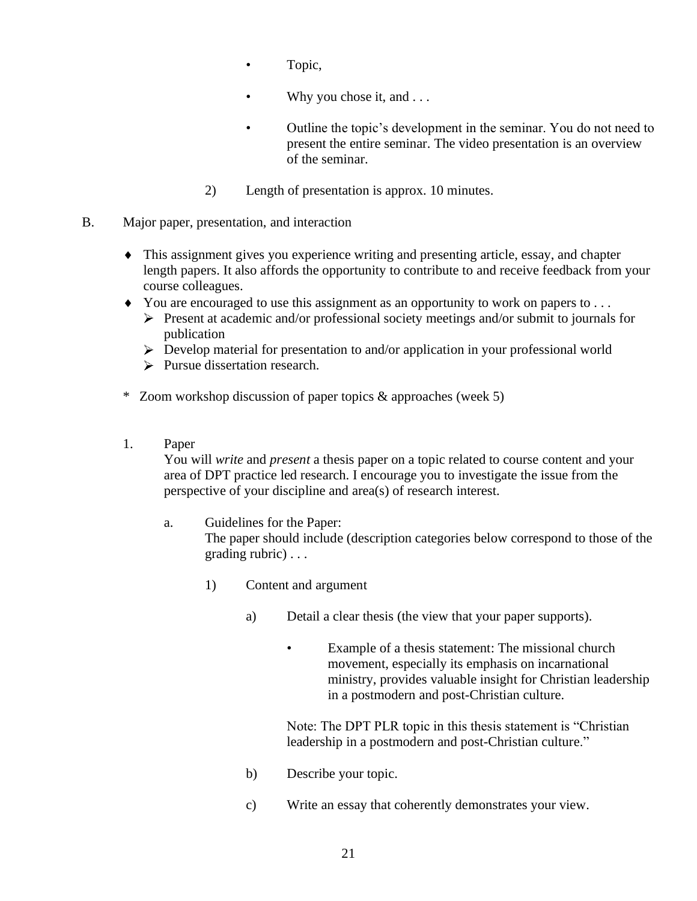- Topic,
- Why you chose it, and . . .
- Outline the topic's development in the seminar. You do not need to present the entire seminar. The video presentation is an overview of the seminar.
- 2) Length of presentation is approx. 10 minutes.
- B. Major paper, presentation, and interaction
	- This assignment gives you experience writing and presenting article, essay, and chapter length papers. It also affords the opportunity to contribute to and receive feedback from your course colleagues.
	- You are encouraged to use this assignment as an opportunity to work on papers to ...
		- $\triangleright$  Present at academic and/or professional society meetings and/or submit to journals for publication
		- $\triangleright$  Develop material for presentation to and/or application in your professional world
		- $\triangleright$  Pursue dissertation research.
	- \* Zoom workshop discussion of paper topics & approaches (week 5)
	- 1. Paper

You will *write* and *present* a thesis paper on a topic related to course content and your area of DPT practice led research. I encourage you to investigate the issue from the perspective of your discipline and area(s) of research interest.

a. Guidelines for the Paper:

The paper should include (description categories below correspond to those of the grading rubric) . . .

- 1) Content and argument
	- a) Detail a clear thesis (the view that your paper supports).
		- Example of a thesis statement: The missional church movement, especially its emphasis on incarnational ministry, provides valuable insight for Christian leadership in a postmodern and post-Christian culture.

Note: The DPT PLR topic in this thesis statement is "Christian leadership in a postmodern and post-Christian culture."

- b) Describe your topic.
- c) Write an essay that coherently demonstrates your view.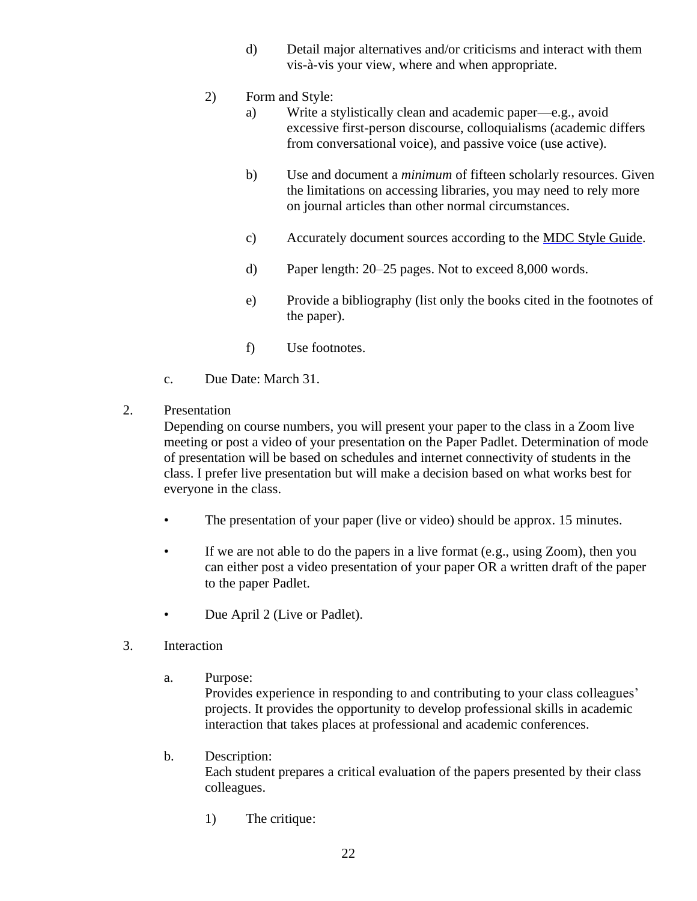- d) Detail major alternatives and/or criticisms and interact with them vis-à-vis your view, where and when appropriate.
- 2) Form and Style:
	- a) Write a stylistically clean and academic paper—e.g., avoid excessive first-person discourse, colloquialisms (academic differs from conversational voice), and passive voice (use active).
	- b) Use and document a *minimum* of fifteen scholarly resources. Given the limitations on accessing libraries, you may need to rely more on journal articles than other normal circumstances.
	- c) Accurately document sources according to the MDC Style Guide.
	- d) Paper length: 20–25 pages. Not to exceed 8,000 words.
	- e) Provide a bibliography (list only the books cited in the footnotes of the paper).
	- f) Use footnotes.
- c. Due Date: March 31.
- 2. Presentation

Depending on course numbers, you will present your paper to the class in a Zoom live meeting or post a video of your presentation on the Paper Padlet. Determination of mode of presentation will be based on schedules and internet connectivity of students in the class. I prefer live presentation but will make a decision based on what works best for everyone in the class.

- The presentation of your paper (live or video) should be approx. 15 minutes.
- If we are not able to do the papers in a live format (e.g., using Zoom), then you can either post a video presentation of your paper OR a written draft of the paper to the paper Padlet.
- Due April 2 (Live or Padlet).
- 3. Interaction
	- a. Purpose:

Provides experience in responding to and contributing to your class colleagues' projects. It provides the opportunity to develop professional skills in academic interaction that takes places at professional and academic conferences.

b. Description:

Each student prepares a critical evaluation of the papers presented by their class colleagues.

1) The critique: